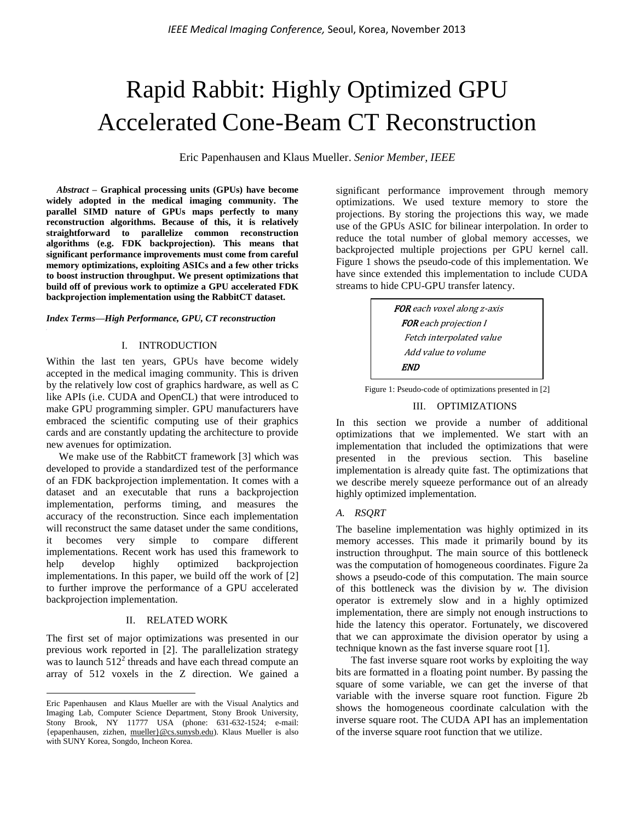# Rapid Rabbit: Highly Optimized GPU Accelerated Cone-Beam CT Reconstruction

Eric Papenhausen and Klaus Mueller. *Senior Member, IEEE*

*Abstract –* **Graphical processing units (GPUs) have become widely adopted in the medical imaging community. The parallel SIMD nature of GPUs maps perfectly to many reconstruction algorithms. Because of this, it is relatively straightforward to parallelize common reconstruction algorithms (e.g. FDK backprojection). This means that significant performance improvements must come from careful memory optimizations, exploiting ASICs and a few other tricks to boost instruction throughput. We present optimizations that build off of previous work to optimize a GPU accelerated FDK backprojection implementation using the RabbitCT dataset.**

### *Index Terms—High Performance, GPU, CT reconstruction*

# I. INTRODUCTION

Within the last ten years, GPUs have become widely accepted in the medical imaging community. This is driven by the relatively low cost of graphics hardware, as well as C like APIs (i.e. CUDA and OpenCL) that were introduced to make GPU programming simpler. GPU manufacturers have embraced the scientific computing use of their graphics cards and are constantly updating the architecture to provide new avenues for optimization.

We make use of the RabbitCT framework [3] which was developed to provide a standardized test of the performance of an FDK backprojection implementation. It comes with a dataset and an executable that runs a backprojection implementation, performs timing, and measures the accuracy of the reconstruction. Since each implementation will reconstruct the same dataset under the same conditions. it becomes very simple to compare different implementations. Recent work has used this framework to help develop highly optimized backprojection implementations. In this paper, we build off the work of [2] to further improve the performance of a GPU accelerated backprojection implementation.

# II. RELATED WORK

The first set of major optimizations was presented in our previous work reported in [2]. The parallelization strategy was to launch  $512^2$  threads and have each thread compute an array of 512 voxels in the Z direction. We gained a

 $\overline{\phantom{a}}$ 

significant performance improvement through memory optimizations. We used texture memory to store the projections. By storing the projections this way, we made use of the GPUs ASIC for bilinear interpolation. In order to reduce the total number of global memory accesses, we backprojected multiple projections per GPU kernel call. Figure 1 shows the pseudo-code of this implementation. We have since extended this implementation to include CUDA streams to hide CPU-GPU transfer latency.

> FOR each voxel along z-axis FOR each projection I Fetch interpolated value Add value to volume END

The state of optimizations presented in [2]

# III. OPTIMIZATIONS

In this section we provide a number of additional optimizations that we implemented. We start with an implementation that included the optimizations that were presented in the previous section. This baseline implementation is already quite fast. The optimizations that we describe merely squeeze performance out of an already highly optimized implementation.

# *A. RSQRT*

The baseline implementation was highly optimized in its memory accesses. This made it primarily bound by its instruction throughput. The main source of this bottleneck was the computation of homogeneous coordinates. Figure 2a shows a pseudo-code of this computation. The main source of this bottleneck was the division by *w.* The division operator is extremely slow and in a highly optimized implementation, there are simply not enough instructions to hide the latency this operator. Fortunately, we discovered that we can approximate the division operator by using a technique known as the fast inverse square root [1].

The fast inverse square root works by exploiting the way bits are formatted in a floating point number. By passing the square of some variable, we can get the inverse of that variable with the inverse square root function. Figure 2b shows the homogeneous coordinate calculation with the inverse square root. The CUDA API has an implementation of the inverse square root function that we utilize.

Eric Papenhausen and Klaus Mueller are with the Visual Analytics and Imaging Lab, Computer Science Department, Stony Brook University, Stony Brook, NY 11777 USA (phone: 631-632-1524; e-mail: {epapenhausen, zizhen, [mueller}@cs.sunysb.edu\)](mailto:mueller%7d@cs.sunysb.edu). Klaus Mueller is also with SUNY Korea, Songdo, Incheon Korea.